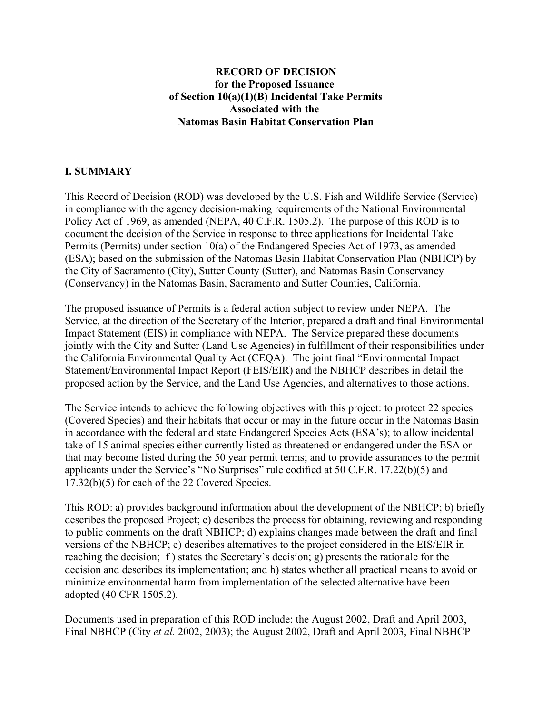# **RECORD OF DECISION for the Proposed Issuance of Section 10(a)(1)(B) Incidental Take Permits Associated with the Natomas Basin Habitat Conservation Plan**

# **I. SUMMARY**

This Record of Decision (ROD) was developed by the U.S. Fish and Wildlife Service (Service) in compliance with the agency decision-making requirements of the National Environmental Policy Act of 1969, as amended (NEPA, 40 C.F.R. 1505.2). The purpose of this ROD is to document the decision of the Service in response to three applications for Incidental Take Permits (Permits) under section 10(a) of the Endangered Species Act of 1973, as amended (ESA); based on the submission of the Natomas Basin Habitat Conservation Plan (NBHCP) by the City of Sacramento (City), Sutter County (Sutter), and Natomas Basin Conservancy (Conservancy) in the Natomas Basin, Sacramento and Sutter Counties, California.

The proposed issuance of Permits is a federal action subject to review under NEPA. The Service, at the direction of the Secretary of the Interior, prepared a draft and final Environmental Impact Statement (EIS) in compliance with NEPA. The Service prepared these documents jointly with the City and Sutter (Land Use Agencies) in fulfillment of their responsibilities under the California Environmental Quality Act (CEQA). The joint final "Environmental Impact Statement/Environmental Impact Report (FEIS/EIR) and the NBHCP describes in detail the proposed action by the Service, and the Land Use Agencies, and alternatives to those actions.

The Service intends to achieve the following objectives with this project: to protect 22 species (Covered Species) and their habitats that occur or may in the future occur in the Natomas Basin in accordance with the federal and state Endangered Species Acts (ESA's); to allow incidental take of 15 animal species either currently listed as threatened or endangered under the ESA or that may become listed during the 50 year permit terms; and to provide assurances to the permit applicants under the Service's "No Surprises" rule codified at 50 C.F.R. 17.22(b)(5) and 17.32(b)(5) for each of the 22 Covered Species.

This ROD: a) provides background information about the development of the NBHCP; b) briefly describes the proposed Project; c) describes the process for obtaining, reviewing and responding to public comments on the draft NBHCP; d) explains changes made between the draft and final versions of the NBHCP; e) describes alternatives to the project considered in the EIS/EIR in reaching the decision; f ) states the Secretary's decision; g) presents the rationale for the decision and describes its implementation; and h) states whether all practical means to avoid or minimize environmental harm from implementation of the selected alternative have been adopted (40 CFR 1505.2).

Documents used in preparation of this ROD include: the August 2002, Draft and April 2003, Final NBHCP (City *et al.* 2002, 2003); the August 2002, Draft and April 2003, Final NBHCP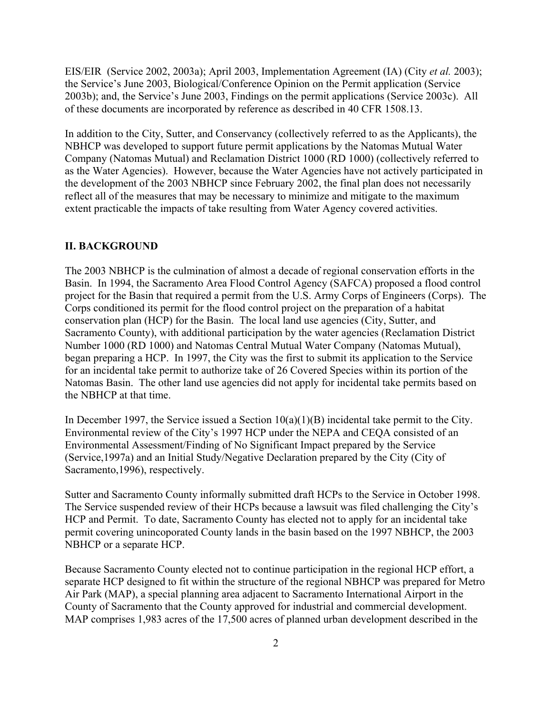EIS/EIR (Service 2002, 2003a); April 2003, Implementation Agreement (IA) (City *et al.* 2003); the Service's June 2003, Biological/Conference Opinion on the Permit application (Service 2003b); and, the Service's June 2003, Findings on the permit applications (Service 2003c). All of these documents are incorporated by reference as described in 40 CFR 1508.13.

In addition to the City, Sutter, and Conservancy (collectively referred to as the Applicants), the NBHCP was developed to support future permit applications by the Natomas Mutual Water Company (Natomas Mutual) and Reclamation District 1000 (RD 1000) (collectively referred to as the Water Agencies). However, because the Water Agencies have not actively participated in the development of the 2003 NBHCP since February 2002, the final plan does not necessarily reflect all of the measures that may be necessary to minimize and mitigate to the maximum extent practicable the impacts of take resulting from Water Agency covered activities.

### **II. BACKGROUND**

The 2003 NBHCP is the culmination of almost a decade of regional conservation efforts in the Basin. In 1994, the Sacramento Area Flood Control Agency (SAFCA) proposed a flood control project for the Basin that required a permit from the U.S. Army Corps of Engineers (Corps). The Corps conditioned its permit for the flood control project on the preparation of a habitat conservation plan (HCP) for the Basin. The local land use agencies (City, Sutter, and Sacramento County), with additional participation by the water agencies (Reclamation District Number 1000 (RD 1000) and Natomas Central Mutual Water Company (Natomas Mutual), began preparing a HCP. In 1997, the City was the first to submit its application to the Service for an incidental take permit to authorize take of 26 Covered Species within its portion of the Natomas Basin. The other land use agencies did not apply for incidental take permits based on the NBHCP at that time.

In December 1997, the Service issued a Section  $10(a)(1)(B)$  incidental take permit to the City. Environmental review of the City's 1997 HCP under the NEPA and CEQA consisted of an Environmental Assessment/Finding of No Significant Impact prepared by the Service (Service,1997a) and an Initial Study/Negative Declaration prepared by the City (City of Sacramento,1996), respectively.

Sutter and Sacramento County informally submitted draft HCPs to the Service in October 1998. The Service suspended review of their HCPs because a lawsuit was filed challenging the City's HCP and Permit. To date, Sacramento County has elected not to apply for an incidental take permit covering unincoporated County lands in the basin based on the 1997 NBHCP, the 2003 NBHCP or a separate HCP.

Because Sacramento County elected not to continue participation in the regional HCP effort, a separate HCP designed to fit within the structure of the regional NBHCP was prepared for Metro Air Park (MAP), a special planning area adjacent to Sacramento International Airport in the County of Sacramento that the County approved for industrial and commercial development. MAP comprises 1,983 acres of the 17,500 acres of planned urban development described in the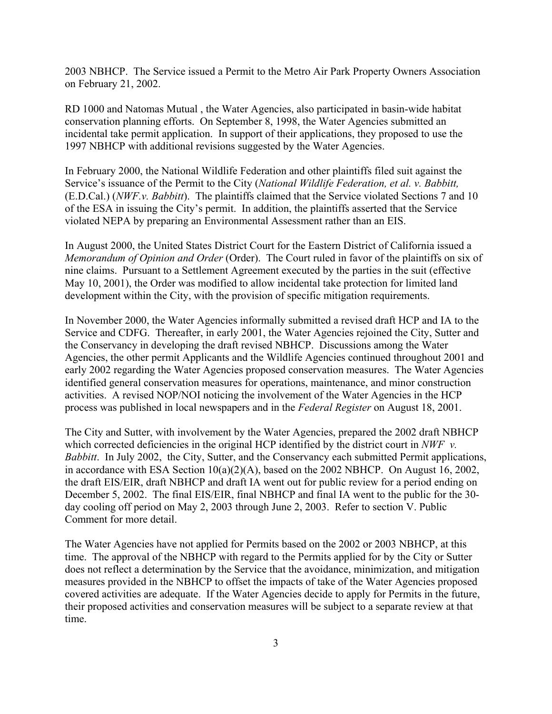2003 NBHCP. The Service issued a Permit to the Metro Air Park Property Owners Association on February 21, 2002.

RD 1000 and Natomas Mutual , the Water Agencies, also participated in basin-wide habitat conservation planning efforts. On September 8, 1998, the Water Agencies submitted an incidental take permit application. In support of their applications, they proposed to use the 1997 NBHCP with additional revisions suggested by the Water Agencies.

In February 2000, the National Wildlife Federation and other plaintiffs filed suit against the Service's issuance of the Permit to the City (*National Wildlife Federation, et al. v. Babbitt,* (E.D.Cal.) (*NWF.v. Babbitt*). The plaintiffs claimed that the Service violated Sections 7 and 10 of the ESA in issuing the City's permit. In addition, the plaintiffs asserted that the Service violated NEPA by preparing an Environmental Assessment rather than an EIS.

In August 2000, the United States District Court for the Eastern District of California issued a *Memorandum of Opinion and Order* (Order). The Court ruled in favor of the plaintiffs on six of nine claims. Pursuant to a Settlement Agreement executed by the parties in the suit (effective May 10, 2001), the Order was modified to allow incidental take protection for limited land development within the City, with the provision of specific mitigation requirements.

In November 2000, the Water Agencies informally submitted a revised draft HCP and IA to the Service and CDFG. Thereafter, in early 2001, the Water Agencies rejoined the City, Sutter and the Conservancy in developing the draft revised NBHCP. Discussions among the Water Agencies, the other permit Applicants and the Wildlife Agencies continued throughout 2001 and early 2002 regarding the Water Agencies proposed conservation measures. The Water Agencies identified general conservation measures for operations, maintenance, and minor construction activities. A revised NOP/NOI noticing the involvement of the Water Agencies in the HCP process was published in local newspapers and in the *Federal Register* on August 18, 2001.

The City and Sutter, with involvement by the Water Agencies, prepared the 2002 draft NBHCP which corrected deficiencies in the original HCP identified by the district court in *NWF v*. *Babbitt*. In July 2002, the City, Sutter, and the Conservancy each submitted Permit applications, in accordance with ESA Section 10(a)(2)(A), based on the 2002 NBHCP. On August 16, 2002, the draft EIS/EIR, draft NBHCP and draft IA went out for public review for a period ending on December 5, 2002. The final EIS/EIR, final NBHCP and final IA went to the public for the 30 day cooling off period on May 2, 2003 through June 2, 2003. Refer to section V. Public Comment for more detail.

The Water Agencies have not applied for Permits based on the 2002 or 2003 NBHCP, at this time. The approval of the NBHCP with regard to the Permits applied for by the City or Sutter does not reflect a determination by the Service that the avoidance, minimization, and mitigation measures provided in the NBHCP to offset the impacts of take of the Water Agencies proposed covered activities are adequate. If the Water Agencies decide to apply for Permits in the future, their proposed activities and conservation measures will be subject to a separate review at that time.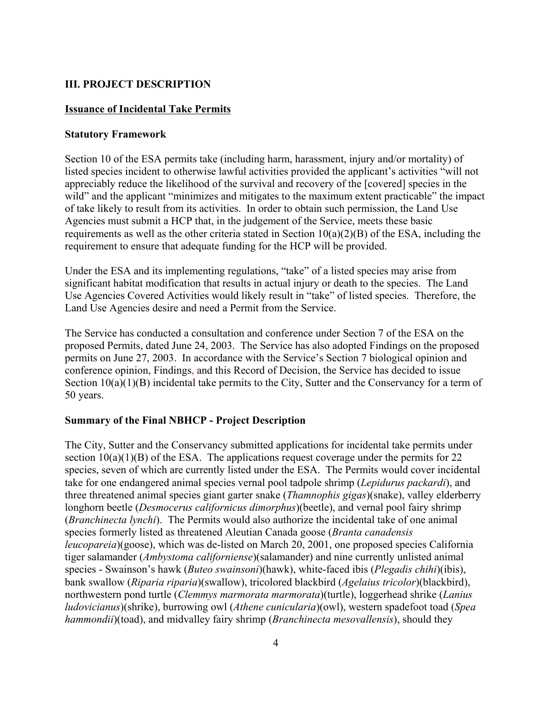# **III. PROJECT DESCRIPTION**

## **Issuance of Incidental Take Permits**

## **Statutory Framework**

Section 10 of the ESA permits take (including harm, harassment, injury and/or mortality) of listed species incident to otherwise lawful activities provided the applicant's activities "will not appreciably reduce the likelihood of the survival and recovery of the [covered] species in the wild" and the applicant "minimizes and mitigates to the maximum extent practicable" the impact of take likely to result from its activities. In order to obtain such permission, the Land Use Agencies must submit a HCP that, in the judgement of the Service, meets these basic requirements as well as the other criteria stated in Section  $10(a)(2)(B)$  of the ESA, including the requirement to ensure that adequate funding for the HCP will be provided.

Under the ESA and its implementing regulations, "take" of a listed species may arise from significant habitat modification that results in actual injury or death to the species. The Land Use Agencies Covered Activities would likely result in "take" of listed species. Therefore, the Land Use Agencies desire and need a Permit from the Service.

The Service has conducted a consultation and conference under Section 7 of the ESA on the proposed Permits, dated June 24, 2003. The Service has also adopted Findings on the proposed permits on June 27, 2003. In accordance with the Service's Section 7 biological opinion and conference opinion, Findings, and this Record of Decision, the Service has decided to issue Section  $10(a)(1)(B)$  incidental take permits to the City, Sutter and the Conservancy for a term of 50 years.

# **Summary of the Final NBHCP - Project Description**

The City, Sutter and the Conservancy submitted applications for incidental take permits under section  $10(a)(1)(B)$  of the ESA. The applications request coverage under the permits for 22 species, seven of which are currently listed under the ESA. The Permits would cover incidental take for one endangered animal species vernal pool tadpole shrimp (*Lepidurus packardi*), and three threatened animal species giant garter snake (*Thamnophis gigas*)(snake), valley elderberry longhorn beetle (*Desmocerus californicus dimorphus*)(beetle), and vernal pool fairy shrimp (*Branchinecta lynchi*). The Permits would also authorize the incidental take of one animal species formerly listed as threatened Aleutian Canada goose (*Branta canadensis leucopareia*)(goose), which was de-listed on March 20, 2001, one proposed species California tiger salamander (*Ambystoma californiense*)(salamander) and nine currently unlisted animal species - Swainson's hawk (*Buteo swainsoni*)(hawk), white-faced ibis (*Plegadis chihi*)(ibis), bank swallow (*Riparia riparia*)(swallow), tricolored blackbird (*Agelaius tricolor*)(blackbird), northwestern pond turtle (*Clemmys marmorata marmorata*)(turtle), loggerhead shrike (*Lanius ludovicianus*)(shrike), burrowing owl (*Athene cunicularia*)(owl), western spadefoot toad (*Spea hammondii*)(toad), and midvalley fairy shrimp (*Branchinecta mesovallensis*), should they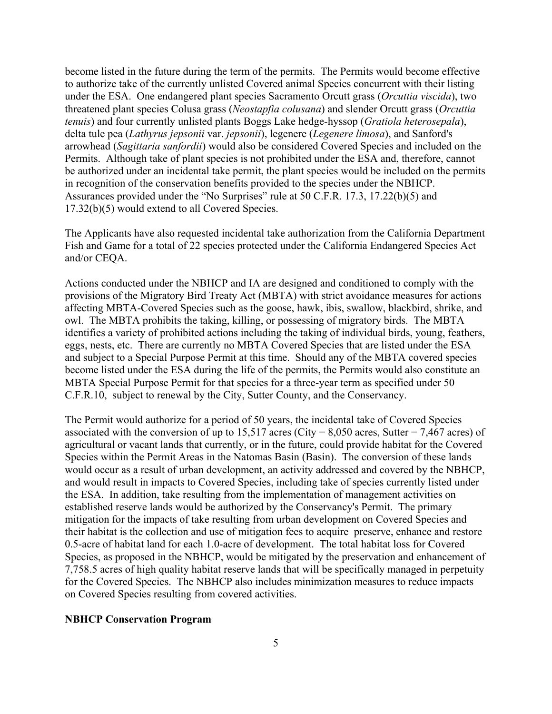become listed in the future during the term of the permits. The Permits would become effective to authorize take of the currently unlisted Covered animal Species concurrent with their listing under the ESA. One endangered plant species Sacramento Orcutt grass (*Orcuttia viscida*), two threatened plant species Colusa grass (*Neostapfia colusana*) and slender Orcutt grass (*Orcuttia tenuis*) and four currently unlisted plants Boggs Lake hedge-hyssop (*Gratiola heterosepala*), delta tule pea (*Lathyrus jepsonii* var. *jepsonii*), legenere (*Legenere limosa*), and Sanford's arrowhead (*Sagittaria sanfordii*) would also be considered Covered Species and included on the Permits. Although take of plant species is not prohibited under the ESA and, therefore, cannot be authorized under an incidental take permit, the plant species would be included on the permits in recognition of the conservation benefits provided to the species under the NBHCP. Assurances provided under the "No Surprises" rule at 50 C.F.R. 17.3, 17.22(b)(5) and 17.32(b)(5) would extend to all Covered Species.

The Applicants have also requested incidental take authorization from the California Department Fish and Game for a total of 22 species protected under the California Endangered Species Act and/or CEQA.

Actions conducted under the NBHCP and IA are designed and conditioned to comply with the provisions of the Migratory Bird Treaty Act (MBTA) with strict avoidance measures for actions affecting MBTA-Covered Species such as the goose, hawk, ibis, swallow, blackbird, shrike, and owl. The MBTA prohibits the taking, killing, or possessing of migratory birds. The MBTA identifies a variety of prohibited actions including the taking of individual birds, young, feathers, eggs, nests, etc. There are currently no MBTA Covered Species that are listed under the ESA and subject to a Special Purpose Permit at this time. Should any of the MBTA covered species become listed under the ESA during the life of the permits, the Permits would also constitute an MBTA Special Purpose Permit for that species for a three-year term as specified under 50 C.F.R.10, subject to renewal by the City, Sutter County, and the Conservancy.

The Permit would authorize for a period of 50 years, the incidental take of Covered Species associated with the conversion of up to 15,517 acres (City = 8,050 acres, Sutter = 7,467 acres) of agricultural or vacant lands that currently, or in the future, could provide habitat for the Covered Species within the Permit Areas in the Natomas Basin (Basin). The conversion of these lands would occur as a result of urban development, an activity addressed and covered by the NBHCP, and would result in impacts to Covered Species, including take of species currently listed under the ESA. In addition, take resulting from the implementation of management activities on established reserve lands would be authorized by the Conservancy's Permit. The primary mitigation for the impacts of take resulting from urban development on Covered Species and their habitat is the collection and use of mitigation fees to acquire preserve, enhance and restore 0.5-acre of habitat land for each 1.0-acre of development. The total habitat loss for Covered Species, as proposed in the NBHCP, would be mitigated by the preservation and enhancement of 7,758.5 acres of high quality habitat reserve lands that will be specifically managed in perpetuity for the Covered Species. The NBHCP also includes minimization measures to reduce impacts on Covered Species resulting from covered activities.

## **NBHCP Conservation Program**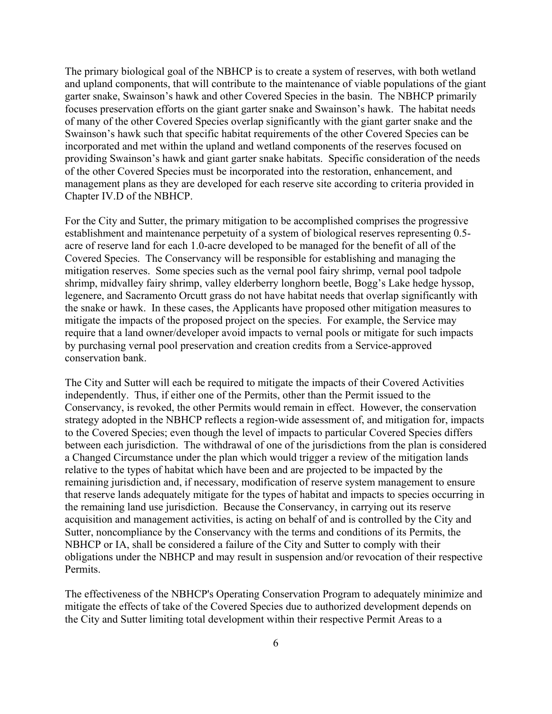The primary biological goal of the NBHCP is to create a system of reserves, with both wetland and upland components, that will contribute to the maintenance of viable populations of the giant garter snake, Swainson's hawk and other Covered Species in the basin. The NBHCP primarily focuses preservation efforts on the giant garter snake and Swainson's hawk. The habitat needs of many of the other Covered Species overlap significantly with the giant garter snake and the Swainson's hawk such that specific habitat requirements of the other Covered Species can be incorporated and met within the upland and wetland components of the reserves focused on providing Swainson's hawk and giant garter snake habitats. Specific consideration of the needs of the other Covered Species must be incorporated into the restoration, enhancement, and management plans as they are developed for each reserve site according to criteria provided in Chapter IV.D of the NBHCP.

For the City and Sutter, the primary mitigation to be accomplished comprises the progressive establishment and maintenance perpetuity of a system of biological reserves representing 0.5 acre of reserve land for each 1.0-acre developed to be managed for the benefit of all of the Covered Species. The Conservancy will be responsible for establishing and managing the mitigation reserves. Some species such as the vernal pool fairy shrimp, vernal pool tadpole shrimp, midvalley fairy shrimp, valley elderberry longhorn beetle, Bogg's Lake hedge hyssop, legenere, and Sacramento Orcutt grass do not have habitat needs that overlap significantly with the snake or hawk. In these cases, the Applicants have proposed other mitigation measures to mitigate the impacts of the proposed project on the species. For example, the Service may require that a land owner/developer avoid impacts to vernal pools or mitigate for such impacts by purchasing vernal pool preservation and creation credits from a Service-approved conservation bank.

The City and Sutter will each be required to mitigate the impacts of their Covered Activities independently. Thus, if either one of the Permits, other than the Permit issued to the Conservancy, is revoked, the other Permits would remain in effect. However, the conservation strategy adopted in the NBHCP reflects a region-wide assessment of, and mitigation for, impacts to the Covered Species; even though the level of impacts to particular Covered Species differs between each jurisdiction. The withdrawal of one of the jurisdictions from the plan is considered a Changed Circumstance under the plan which would trigger a review of the mitigation lands relative to the types of habitat which have been and are projected to be impacted by the remaining jurisdiction and, if necessary, modification of reserve system management to ensure that reserve lands adequately mitigate for the types of habitat and impacts to species occurring in the remaining land use jurisdiction. Because the Conservancy, in carrying out its reserve acquisition and management activities, is acting on behalf of and is controlled by the City and Sutter, noncompliance by the Conservancy with the terms and conditions of its Permits, the NBHCP or IA, shall be considered a failure of the City and Sutter to comply with their obligations under the NBHCP and may result in suspension and/or revocation of their respective **Permits** 

The effectiveness of the NBHCP's Operating Conservation Program to adequately minimize and mitigate the effects of take of the Covered Species due to authorized development depends on the City and Sutter limiting total development within their respective Permit Areas to a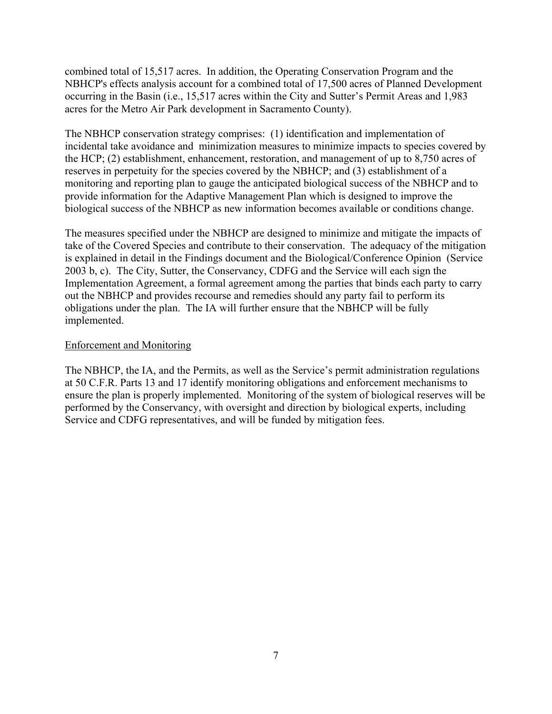combined total of 15,517 acres. In addition, the Operating Conservation Program and the NBHCP's effects analysis account for a combined total of 17,500 acres of Planned Development occurring in the Basin (i.e., 15,517 acres within the City and Sutter's Permit Areas and 1,983 acres for the Metro Air Park development in Sacramento County).

The NBHCP conservation strategy comprises: (1) identification and implementation of incidental take avoidance and minimization measures to minimize impacts to species covered by the HCP; (2) establishment, enhancement, restoration, and management of up to 8,750 acres of reserves in perpetuity for the species covered by the NBHCP; and (3) establishment of a monitoring and reporting plan to gauge the anticipated biological success of the NBHCP and to provide information for the Adaptive Management Plan which is designed to improve the biological success of the NBHCP as new information becomes available or conditions change.

The measures specified under the NBHCP are designed to minimize and mitigate the impacts of take of the Covered Species and contribute to their conservation. The adequacy of the mitigation is explained in detail in the Findings document and the Biological/Conference Opinion (Service 2003 b, c). The City, Sutter, the Conservancy, CDFG and the Service will each sign the Implementation Agreement, a formal agreement among the parties that binds each party to carry out the NBHCP and provides recourse and remedies should any party fail to perform its obligations under the plan. The IA will further ensure that the NBHCP will be fully implemented.

# Enforcement and Monitoring

The NBHCP, the IA, and the Permits, as well as the Service's permit administration regulations at 50 C.F.R. Parts 13 and 17 identify monitoring obligations and enforcement mechanisms to ensure the plan is properly implemented. Monitoring of the system of biological reserves will be performed by the Conservancy, with oversight and direction by biological experts, including Service and CDFG representatives, and will be funded by mitigation fees.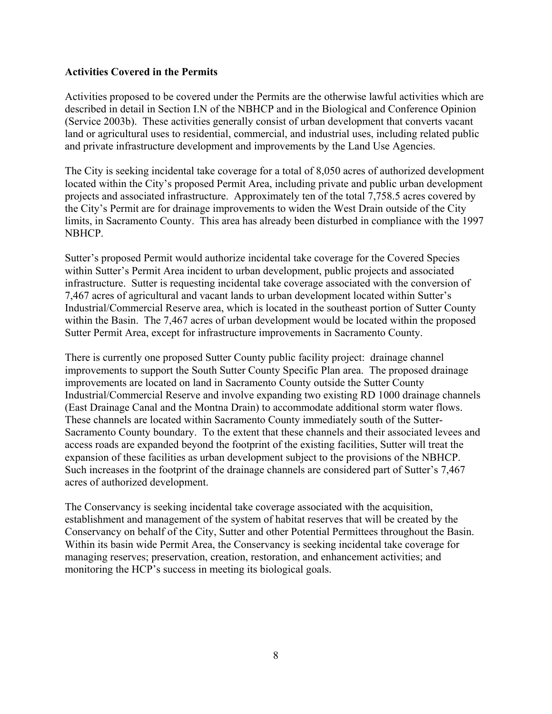# **Activities Covered in the Permits**

Activities proposed to be covered under the Permits are the otherwise lawful activities which are described in detail in Section I.N of the NBHCP and in the Biological and Conference Opinion (Service 2003b). These activities generally consist of urban development that converts vacant land or agricultural uses to residential, commercial, and industrial uses, including related public and private infrastructure development and improvements by the Land Use Agencies.

The City is seeking incidental take coverage for a total of 8,050 acres of authorized development located within the City's proposed Permit Area, including private and public urban development projects and associated infrastructure. Approximately ten of the total 7,758.5 acres covered by the City's Permit are for drainage improvements to widen the West Drain outside of the City limits, in Sacramento County. This area has already been disturbed in compliance with the 1997 NBHCP.

Sutter's proposed Permit would authorize incidental take coverage for the Covered Species within Sutter's Permit Area incident to urban development, public projects and associated infrastructure. Sutter is requesting incidental take coverage associated with the conversion of 7,467 acres of agricultural and vacant lands to urban development located within Sutter's Industrial/Commercial Reserve area, which is located in the southeast portion of Sutter County within the Basin. The 7,467 acres of urban development would be located within the proposed Sutter Permit Area, except for infrastructure improvements in Sacramento County.

There is currently one proposed Sutter County public facility project: drainage channel improvements to support the South Sutter County Specific Plan area. The proposed drainage improvements are located on land in Sacramento County outside the Sutter County Industrial/Commercial Reserve and involve expanding two existing RD 1000 drainage channels (East Drainage Canal and the Montna Drain) to accommodate additional storm water flows. These channels are located within Sacramento County immediately south of the Sutter-Sacramento County boundary. To the extent that these channels and their associated levees and access roads are expanded beyond the footprint of the existing facilities, Sutter will treat the expansion of these facilities as urban development subject to the provisions of the NBHCP. Such increases in the footprint of the drainage channels are considered part of Sutter's 7,467 acres of authorized development.

The Conservancy is seeking incidental take coverage associated with the acquisition, establishment and management of the system of habitat reserves that will be created by the Conservancy on behalf of the City, Sutter and other Potential Permittees throughout the Basin. Within its basin wide Permit Area, the Conservancy is seeking incidental take coverage for managing reserves; preservation, creation, restoration, and enhancement activities; and monitoring the HCP's success in meeting its biological goals.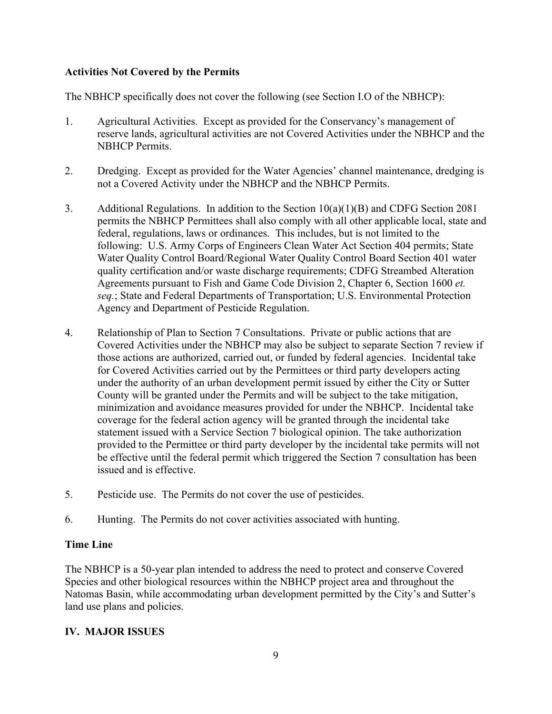# **Activities Not Covered by the Permits**

The NBHCP specifically does not cover the following (see Section I.O of the NBHCP):

- 1. Agricultural Activities. Except as provided for the Conservancy's management of reserve lands, agricultural activities are not Covered Activities under the NBHCP and the NBHCP Permits.
- 2. Dredging. Except as provided for the Water Agencies' channel maintenance, dredging is not a Covered Activity under the NBHCP and the NBHCP Permits.
- 3. Additional Regulations. In addition to the Section 10(a)(1)(B) and CDFG Section 2081 permits the NBHCP Permittees shall also comply with all other applicable local, state and federal, regulations, laws or ordinances. This includes, but is not limited to the following: U.S. Army Corps of Engineers Clean Water Act Section 404 permits; State Water Quality Control Board/Regional Water Quality Control Board Section 401 water quality certification and/or waste discharge requirements; CDFG Streambed Alteration Agreements pursuant to Fish and Game Code Division 2, Chapter 6, Section 1600 *et. seq.*; State and Federal Departments of Transportation; U.S. Environmental Protection Agency and Department of Pesticide Regulation.
- 4. Relationship of Plan to Section 7 Consultations. Private or public actions that are Covered Activities under the NBHCP may also be subject to separate Section 7 review if those actions are authorized, carried out, or funded by federal agencies. Incidental take for Covered Activities carried out by the Permittees or third party developers acting under the authority of an urban development permit issued by either the City or Sutter County will be granted under the Permits and will be subject to the take mitigation, minimization and avoidance measures provided for under the NBHCP. Incidental take coverage for the federal action agency will be granted through the incidental take statement issued with a Service Section 7 biological opinion. The take authorization provided to the Permittee or third party developer by the incidental take permits will not be effective until the federal permit which triggered the Section 7 consultation has been issued and is effective.
- 5. Pesticide use. The Permits do not cover the use of pesticides.
- 6. Hunting. The Permits do not cover activities associated with hunting.

# **Time Line**

The NBHCP is a 50-year plan intended to address the need to protect and conserve Covered Species and other biological resources within the NBHCP project area and throughout the Natomas Basin, while accommodating urban development permitted by the City's and Sutter's land use plans and policies.

# **IV. MAJOR ISSUES**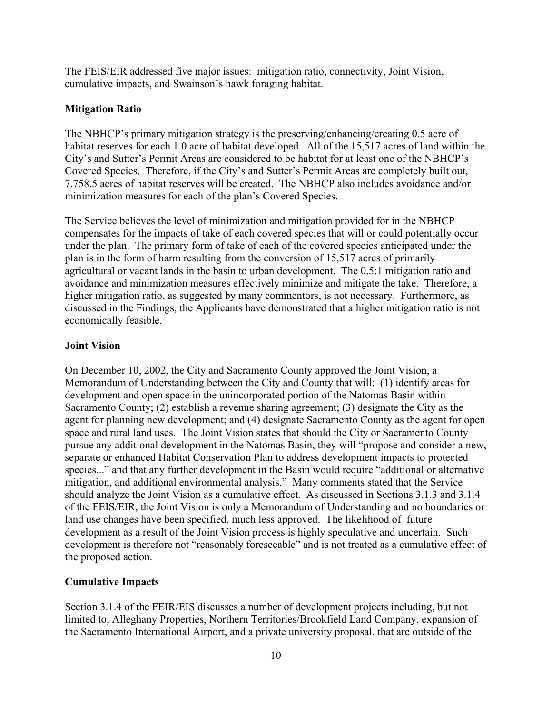The FEIS/EIR addressed five major issues: mitigation ratio, connectivity, Joint Vision, cumulative impacts, and Swainson's hawk foraging habitat.

## **Mitigation Ratio**

The NBHCP's primary mitigation strategy is the preserving/enhancing/creating 0.5 acre of habitat reserves for each 1.0 acre of habitat developed. All of the 15,517 acres of land within the City's and Sutter's Permit Areas are considered to be habitat for at least one of the NBHCP's Covered Species. Therefore, if the City's and Sutter's Permit Areas are completely built out, 7,758.5 acres of habitat reserves will be created. The NBHCP also includes avoidance and/or minimization measures for each of the plan's Covered Species.

The Service believes the level of minimization and mitigation provided for in the NBHCP compensates for the impacts of take of each covered species that will or could potentially occur under the plan. The primary form of take of each of the covered species anticipated under the plan is in the form of harm resulting from the conversion of 15,517 acres of primarily agricultural or vacant lands in the basin to urban development. The 0.5:1 mitigation ratio and avoidance and minimization measures effectively minimize and mitigate the take. Therefore, a higher mitigation ratio, as suggested by many commentors, is not necessary. Furthermore, as discussed in the Findings, the Applicants have demonstrated that a higher mitigation ratio is not economically feasible.

#### **Joint Vision**

On December 10, 2002, the City and Sacramento County approved the Joint Vision, a Memorandum of Understanding between the City and County that will: (1) identify areas for development and open space in the unincorporated portion of the Natomas Basin within Sacramento County; (2) establish a revenue sharing agreement; (3) designate the City as the agent for planning new development; and (4) designate Sacramento County as the agent for open space and rural land uses. The Joint Vision states that should the City or Sacramento County pursue any additional development in the Natomas Basin, they will "propose and consider a new, separate or enhanced Habitat Conservation Plan to address development impacts to protected species..." and that any further development in the Basin would require "additional or alternative mitigation, and additional environmental analysis." Many comments stated that the Service should analyze the Joint Vision as a cumulative effect. As discussed in Sections 3.1.3 and 3.1.4 of the FEIS/EIR, the Joint Vision is only a Memorandum of Understanding and no boundaries or land use changes have been specified, much less approved. The likelihood of future development as a result of the Joint Vision process is highly speculative and uncertain. Such development is therefore not "reasonably foreseeable" and is not treated as a cumulative effect of the proposed action.

## **Cumulative Impacts**

Section 3.1.4 of the FEIR/EIS discusses a number of development projects including, but not limited to, Alleghany Properties, Northern Territories/Brookfield Land Company, expansion of the Sacramento International Airport, and a private university proposal, that are outside of the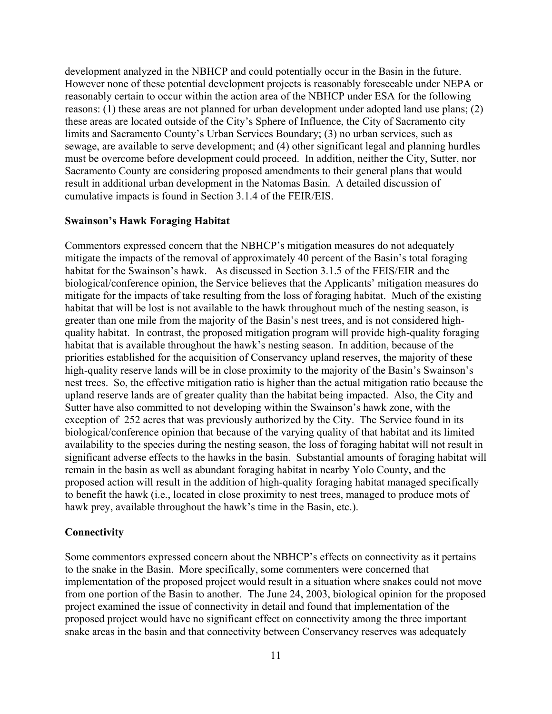development analyzed in the NBHCP and could potentially occur in the Basin in the future. However none of these potential development projects is reasonably foreseeable under NEPA or reasonably certain to occur within the action area of the NBHCP under ESA for the following reasons: (1) these areas are not planned for urban development under adopted land use plans; (2) these areas are located outside of the City's Sphere of Influence, the City of Sacramento city limits and Sacramento County's Urban Services Boundary; (3) no urban services, such as sewage, are available to serve development; and (4) other significant legal and planning hurdles must be overcome before development could proceed. In addition, neither the City, Sutter, nor Sacramento County are considering proposed amendments to their general plans that would result in additional urban development in the Natomas Basin. A detailed discussion of cumulative impacts is found in Section 3.1.4 of the FEIR/EIS.

### **Swainson's Hawk Foraging Habitat**

Commentors expressed concern that the NBHCP's mitigation measures do not adequately mitigate the impacts of the removal of approximately 40 percent of the Basin's total foraging habitat for the Swainson's hawk. As discussed in Section 3.1.5 of the FEIS/EIR and the biological/conference opinion, the Service believes that the Applicants' mitigation measures do mitigate for the impacts of take resulting from the loss of foraging habitat. Much of the existing habitat that will be lost is not available to the hawk throughout much of the nesting season, is greater than one mile from the majority of the Basin's nest trees, and is not considered highquality habitat. In contrast, the proposed mitigation program will provide high-quality foraging habitat that is available throughout the hawk's nesting season. In addition, because of the priorities established for the acquisition of Conservancy upland reserves, the majority of these high-quality reserve lands will be in close proximity to the majority of the Basin's Swainson's nest trees. So, the effective mitigation ratio is higher than the actual mitigation ratio because the upland reserve lands are of greater quality than the habitat being impacted. Also, the City and Sutter have also committed to not developing within the Swainson's hawk zone, with the exception of 252 acres that was previously authorized by the City. The Service found in its biological/conference opinion that because of the varying quality of that habitat and its limited availability to the species during the nesting season, the loss of foraging habitat will not result in significant adverse effects to the hawks in the basin. Substantial amounts of foraging habitat will remain in the basin as well as abundant foraging habitat in nearby Yolo County, and the proposed action will result in the addition of high-quality foraging habitat managed specifically to benefit the hawk (i.e., located in close proximity to nest trees, managed to produce mots of hawk prey, available throughout the hawk's time in the Basin, etc.).

## **Connectivity**

Some commentors expressed concern about the NBHCP's effects on connectivity as it pertains to the snake in the Basin. More specifically, some commenters were concerned that implementation of the proposed project would result in a situation where snakes could not move from one portion of the Basin to another. The June 24, 2003, biological opinion for the proposed project examined the issue of connectivity in detail and found that implementation of the proposed project would have no significant effect on connectivity among the three important snake areas in the basin and that connectivity between Conservancy reserves was adequately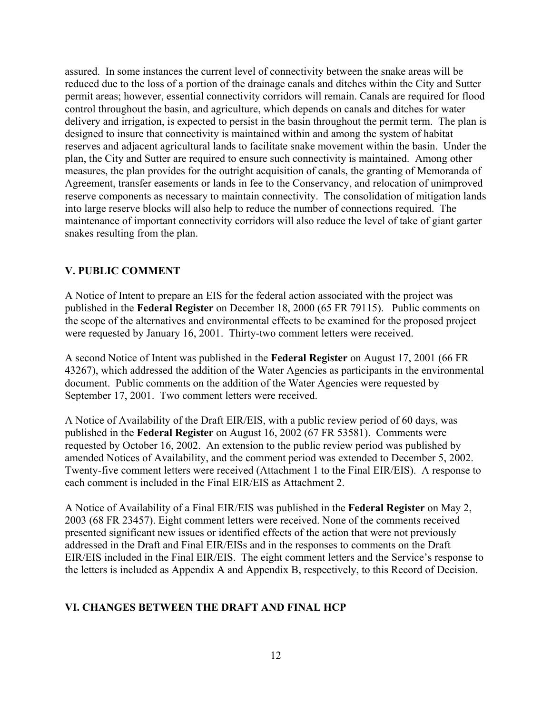assured. In some instances the current level of connectivity between the snake areas will be reduced due to the loss of a portion of the drainage canals and ditches within the City and Sutter permit areas; however, essential connectivity corridors will remain. Canals are required for flood control throughout the basin, and agriculture, which depends on canals and ditches for water delivery and irrigation, is expected to persist in the basin throughout the permit term. The plan is designed to insure that connectivity is maintained within and among the system of habitat reserves and adjacent agricultural lands to facilitate snake movement within the basin. Under the plan, the City and Sutter are required to ensure such connectivity is maintained. Among other measures, the plan provides for the outright acquisition of canals, the granting of Memoranda of Agreement, transfer easements or lands in fee to the Conservancy, and relocation of unimproved reserve components as necessary to maintain connectivity. The consolidation of mitigation lands into large reserve blocks will also help to reduce the number of connections required. The maintenance of important connectivity corridors will also reduce the level of take of giant garter snakes resulting from the plan.

# **V. PUBLIC COMMENT**

A Notice of Intent to prepare an EIS for the federal action associated with the project was published in the **Federal Register** on December 18, 2000 (65 FR 79115). Public comments on the scope of the alternatives and environmental effects to be examined for the proposed project were requested by January 16, 2001. Thirty-two comment letters were received.

A second Notice of Intent was published in the **Federal Register** on August 17, 2001 (66 FR 43267), which addressed the addition of the Water Agencies as participants in the environmental document. Public comments on the addition of the Water Agencies were requested by September 17, 2001. Two comment letters were received.

A Notice of Availability of the Draft EIR/EIS, with a public review period of 60 days, was published in the **Federal Register** on August 16, 2002 (67 FR 53581). Comments were requested by October 16, 2002. An extension to the public review period was published by amended Notices of Availability, and the comment period was extended to December 5, 2002. Twenty-five comment letters were received (Attachment 1 to the Final EIR/EIS). A response to each comment is included in the Final EIR/EIS as Attachment 2.

A Notice of Availability of a Final EIR/EIS was published in the **Federal Register** on May 2, 2003 (68 FR 23457). Eight comment letters were received. None of the comments received presented significant new issues or identified effects of the action that were not previously addressed in the Draft and Final EIR/EISs and in the responses to comments on the Draft EIR/EIS included in the Final EIR/EIS. The eight comment letters and the Service's response to the letters is included as Appendix A and Appendix B, respectively, to this Record of Decision.

# **VI. CHANGES BETWEEN THE DRAFT AND FINAL HCP**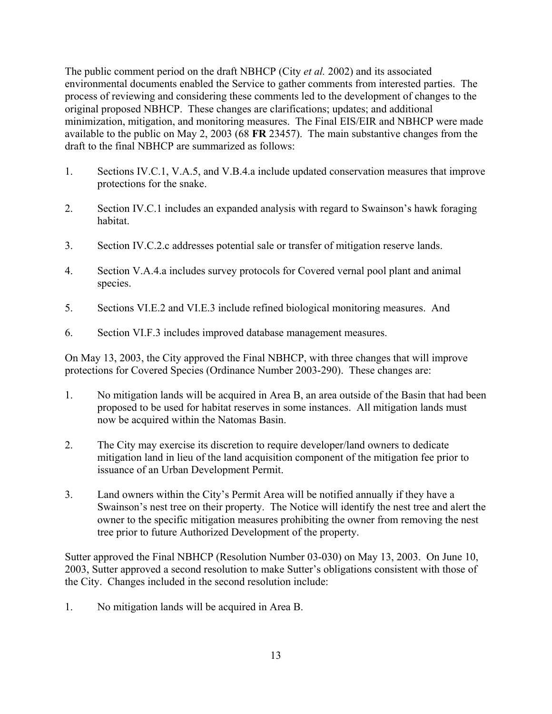The public comment period on the draft NBHCP (City *et al.* 2002) and its associated environmental documents enabled the Service to gather comments from interested parties. The process of reviewing and considering these comments led to the development of changes to the original proposed NBHCP. These changes are clarifications; updates; and additional minimization, mitigation, and monitoring measures. The Final EIS/EIR and NBHCP were made available to the public on May 2, 2003 (68 **FR** 23457). The main substantive changes from the draft to the final NBHCP are summarized as follows:

- 1. Sections IV.C.1, V.A.5, and V.B.4.a include updated conservation measures that improve protections for the snake.
- 2. Section IV.C.1 includes an expanded analysis with regard to Swainson's hawk foraging habitat.
- 3. Section IV.C.2.c addresses potential sale or transfer of mitigation reserve lands.
- 4. Section V.A.4.a includes survey protocols for Covered vernal pool plant and animal species.
- 5. Sections VI.E.2 and VI.E.3 include refined biological monitoring measures. And
- 6. Section VI.F.3 includes improved database management measures.

On May 13, 2003, the City approved the Final NBHCP, with three changes that will improve protections for Covered Species (Ordinance Number 2003-290). These changes are:

- 1. No mitigation lands will be acquired in Area B, an area outside of the Basin that had been proposed to be used for habitat reserves in some instances. All mitigation lands must now be acquired within the Natomas Basin.
- 2. The City may exercise its discretion to require developer/land owners to dedicate mitigation land in lieu of the land acquisition component of the mitigation fee prior to issuance of an Urban Development Permit.
- 3. Land owners within the City's Permit Area will be notified annually if they have a Swainson's nest tree on their property. The Notice will identify the nest tree and alert the owner to the specific mitigation measures prohibiting the owner from removing the nest tree prior to future Authorized Development of the property.

Sutter approved the Final NBHCP (Resolution Number 03-030) on May 13, 2003. On June 10, 2003, Sutter approved a second resolution to make Sutter's obligations consistent with those of the City. Changes included in the second resolution include:

1. No mitigation lands will be acquired in Area B.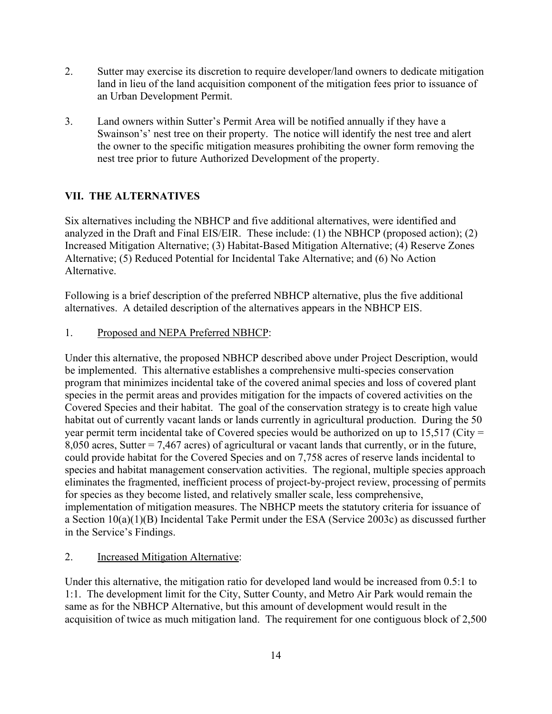- 2. Sutter may exercise its discretion to require developer/land owners to dedicate mitigation land in lieu of the land acquisition component of the mitigation fees prior to issuance of an Urban Development Permit.
- 3. Land owners within Sutter's Permit Area will be notified annually if they have a Swainson's' nest tree on their property. The notice will identify the nest tree and alert the owner to the specific mitigation measures prohibiting the owner form removing the nest tree prior to future Authorized Development of the property.

# **VII. THE ALTERNATIVES**

Six alternatives including the NBHCP and five additional alternatives, were identified and analyzed in the Draft and Final EIS/EIR. These include: (1) the NBHCP (proposed action); (2) Increased Mitigation Alternative; (3) Habitat-Based Mitigation Alternative; (4) Reserve Zones Alternative; (5) Reduced Potential for Incidental Take Alternative; and (6) No Action Alternative.

Following is a brief description of the preferred NBHCP alternative, plus the five additional alternatives. A detailed description of the alternatives appears in the NBHCP EIS.

1. Proposed and NEPA Preferred NBHCP:

Under this alternative, the proposed NBHCP described above under Project Description, would be implemented. This alternative establishes a comprehensive multi-species conservation program that minimizes incidental take of the covered animal species and loss of covered plant species in the permit areas and provides mitigation for the impacts of covered activities on the Covered Species and their habitat. The goal of the conservation strategy is to create high value habitat out of currently vacant lands or lands currently in agricultural production. During the 50 year permit term incidental take of Covered species would be authorized on up to 15,517 (City = 8,050 acres, Sutter = 7,467 acres) of agricultural or vacant lands that currently, or in the future, could provide habitat for the Covered Species and on 7,758 acres of reserve lands incidental to species and habitat management conservation activities. The regional, multiple species approach eliminates the fragmented, inefficient process of project-by-project review, processing of permits for species as they become listed, and relatively smaller scale, less comprehensive, implementation of mitigation measures. The NBHCP meets the statutory criteria for issuance of a Section 10(a)(1)(B) Incidental Take Permit under the ESA (Service 2003c) as discussed further in the Service's Findings.

# 2. Increased Mitigation Alternative:

Under this alternative, the mitigation ratio for developed land would be increased from 0.5:1 to 1:1. The development limit for the City, Sutter County, and Metro Air Park would remain the same as for the NBHCP Alternative, but this amount of development would result in the acquisition of twice as much mitigation land. The requirement for one contiguous block of 2,500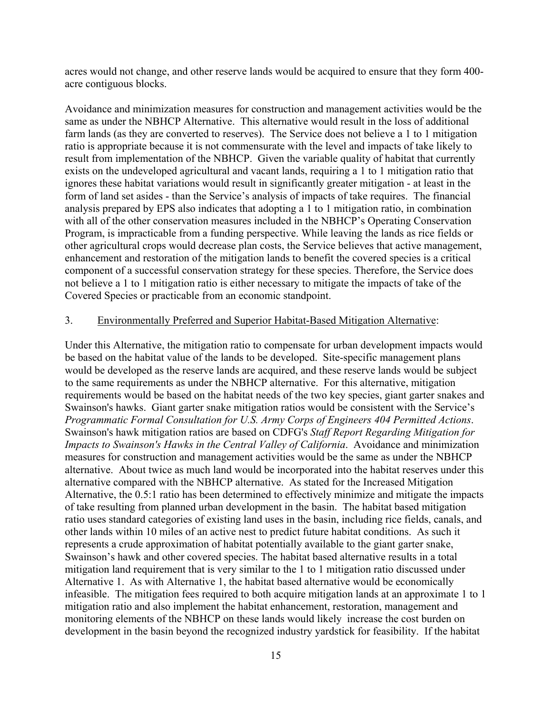acres would not change, and other reserve lands would be acquired to ensure that they form 400 acre contiguous blocks.

Avoidance and minimization measures for construction and management activities would be the same as under the NBHCP Alternative. This alternative would result in the loss of additional farm lands (as they are converted to reserves). The Service does not believe a 1 to 1 mitigation ratio is appropriate because it is not commensurate with the level and impacts of take likely to result from implementation of the NBHCP. Given the variable quality of habitat that currently exists on the undeveloped agricultural and vacant lands, requiring a 1 to 1 mitigation ratio that ignores these habitat variations would result in significantly greater mitigation - at least in the form of land set asides - than the Service's analysis of impacts of take requires. The financial analysis prepared by EPS also indicates that adopting a 1 to 1 mitigation ratio, in combination with all of the other conservation measures included in the NBHCP's Operating Conservation Program, is impracticable from a funding perspective. While leaving the lands as rice fields or other agricultural crops would decrease plan costs, the Service believes that active management, enhancement and restoration of the mitigation lands to benefit the covered species is a critical component of a successful conservation strategy for these species. Therefore, the Service does not believe a 1 to 1 mitigation ratio is either necessary to mitigate the impacts of take of the Covered Species or practicable from an economic standpoint.

## 3. Environmentally Preferred and Superior Habitat-Based Mitigation Alternative:

Under this Alternative, the mitigation ratio to compensate for urban development impacts would be based on the habitat value of the lands to be developed. Site-specific management plans would be developed as the reserve lands are acquired, and these reserve lands would be subject to the same requirements as under the NBHCP alternative. For this alternative, mitigation requirements would be based on the habitat needs of the two key species, giant garter snakes and Swainson's hawks. Giant garter snake mitigation ratios would be consistent with the Service's *Programmatic Formal Consultation for U.S. Army Corps of Engineers 404 Permitted Actions*. Swainson's hawk mitigation ratios are based on CDFG's *Staff Report Regarding Mitigation for Impacts to Swainson's Hawks in the Central Valley of California*. Avoidance and minimization measures for construction and management activities would be the same as under the NBHCP alternative. About twice as much land would be incorporated into the habitat reserves under this alternative compared with the NBHCP alternative. As stated for the Increased Mitigation Alternative, the 0.5:1 ratio has been determined to effectively minimize and mitigate the impacts of take resulting from planned urban development in the basin. The habitat based mitigation ratio uses standard categories of existing land uses in the basin, including rice fields, canals, and other lands within 10 miles of an active nest to predict future habitat conditions. As such it represents a crude approximation of habitat potentially available to the giant garter snake, Swainson's hawk and other covered species. The habitat based alternative results in a total mitigation land requirement that is very similar to the 1 to 1 mitigation ratio discussed under Alternative 1. As with Alternative 1, the habitat based alternative would be economically infeasible. The mitigation fees required to both acquire mitigation lands at an approximate 1 to 1 mitigation ratio and also implement the habitat enhancement, restoration, management and monitoring elements of the NBHCP on these lands would likely increase the cost burden on development in the basin beyond the recognized industry yardstick for feasibility. If the habitat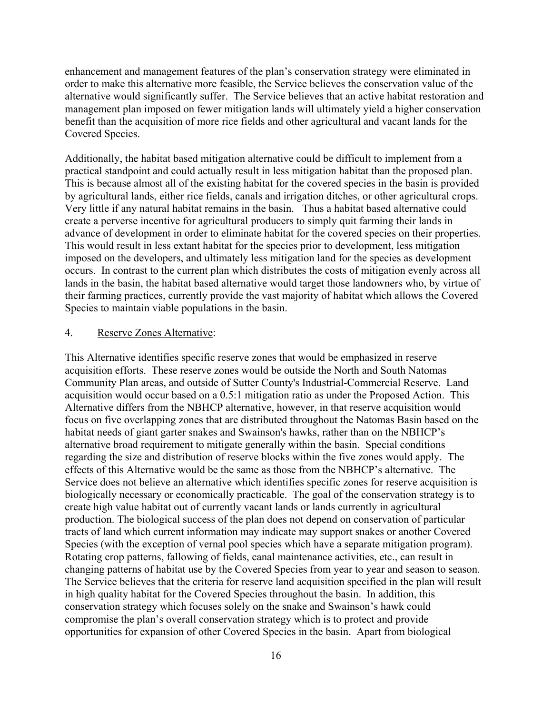enhancement and management features of the plan's conservation strategy were eliminated in order to make this alternative more feasible, the Service believes the conservation value of the alternative would significantly suffer. The Service believes that an active habitat restoration and management plan imposed on fewer mitigation lands will ultimately yield a higher conservation benefit than the acquisition of more rice fields and other agricultural and vacant lands for the Covered Species.

Additionally, the habitat based mitigation alternative could be difficult to implement from a practical standpoint and could actually result in less mitigation habitat than the proposed plan. This is because almost all of the existing habitat for the covered species in the basin is provided by agricultural lands, either rice fields, canals and irrigation ditches, or other agricultural crops. Very little if any natural habitat remains in the basin. Thus a habitat based alternative could create a perverse incentive for agricultural producers to simply quit farming their lands in advance of development in order to eliminate habitat for the covered species on their properties. This would result in less extant habitat for the species prior to development, less mitigation imposed on the developers, and ultimately less mitigation land for the species as development occurs. In contrast to the current plan which distributes the costs of mitigation evenly across all lands in the basin, the habitat based alternative would target those landowners who, by virtue of their farming practices, currently provide the vast majority of habitat which allows the Covered Species to maintain viable populations in the basin.

# 4. Reserve Zones Alternative:

This Alternative identifies specific reserve zones that would be emphasized in reserve acquisition efforts. These reserve zones would be outside the North and South Natomas Community Plan areas, and outside of Sutter County's Industrial-Commercial Reserve. Land acquisition would occur based on a 0.5:1 mitigation ratio as under the Proposed Action. This Alternative differs from the NBHCP alternative, however, in that reserve acquisition would focus on five overlapping zones that are distributed throughout the Natomas Basin based on the habitat needs of giant garter snakes and Swainson's hawks, rather than on the NBHCP's alternative broad requirement to mitigate generally within the basin. Special conditions regarding the size and distribution of reserve blocks within the five zones would apply. The effects of this Alternative would be the same as those from the NBHCP's alternative. The Service does not believe an alternative which identifies specific zones for reserve acquisition is biologically necessary or economically practicable. The goal of the conservation strategy is to create high value habitat out of currently vacant lands or lands currently in agricultural production. The biological success of the plan does not depend on conservation of particular tracts of land which current information may indicate may support snakes or another Covered Species (with the exception of vernal pool species which have a separate mitigation program). Rotating crop patterns, fallowing of fields, canal maintenance activities, etc., can result in changing patterns of habitat use by the Covered Species from year to year and season to season. The Service believes that the criteria for reserve land acquisition specified in the plan will result in high quality habitat for the Covered Species throughout the basin.In addition, this conservation strategy which focuses solely on the snake and Swainson's hawk could compromise the plan's overall conservation strategy which is to protect and provide opportunities for expansion of other Covered Species in the basin. Apart from biological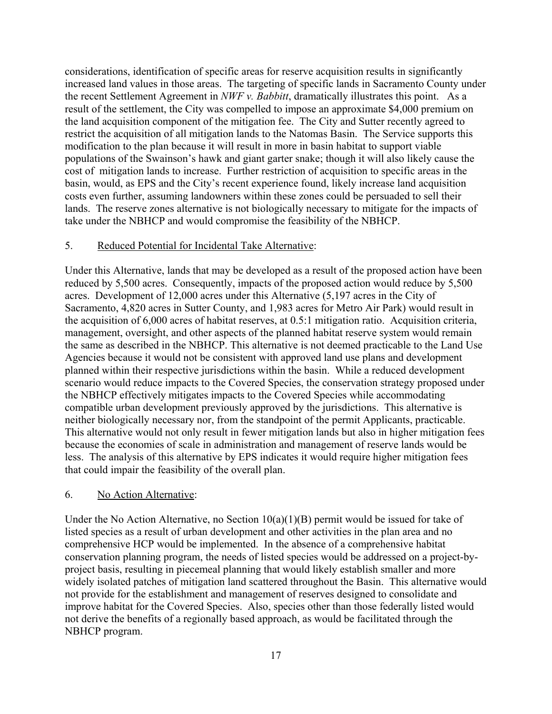considerations, identification of specific areas for reserve acquisition results in significantly increased land values in those areas. The targeting of specific lands in Sacramento County under the recent Settlement Agreement in *NWF v. Babbitt*, dramatically illustrates this point. As a result of the settlement, the City was compelled to impose an approximate \$4,000 premium on the land acquisition component of the mitigation fee. The City and Sutter recently agreed to restrict the acquisition of all mitigation lands to the Natomas Basin. The Service supports this modification to the plan because it will result in more in basin habitat to support viable populations of the Swainson's hawk and giant garter snake; though it will also likely cause the cost of mitigation lands to increase. Further restriction of acquisition to specific areas in the basin, would, as EPS and the City's recent experience found, likely increase land acquisition costs even further, assuming landowners within these zones could be persuaded to sell their lands. The reserve zones alternative is not biologically necessary to mitigate for the impacts of take under the NBHCP and would compromise the feasibility of the NBHCP.

## 5. Reduced Potential for Incidental Take Alternative:

Under this Alternative, lands that may be developed as a result of the proposed action have been reduced by 5,500 acres. Consequently, impacts of the proposed action would reduce by 5,500 acres. Development of 12,000 acres under this Alternative (5,197 acres in the City of Sacramento, 4,820 acres in Sutter County, and 1,983 acres for Metro Air Park) would result in the acquisition of 6,000 acres of habitat reserves, at 0.5:1 mitigation ratio. Acquisition criteria, management, oversight, and other aspects of the planned habitat reserve system would remain the same as described in the NBHCP. This alternative is not deemed practicable to the Land Use Agencies because it would not be consistent with approved land use plans and development planned within their respective jurisdictions within the basin. While a reduced development scenario would reduce impacts to the Covered Species, the conservation strategy proposed under the NBHCP effectively mitigates impacts to the Covered Species while accommodating compatible urban development previously approved by the jurisdictions. This alternative is neither biologically necessary nor, from the standpoint of the permit Applicants, practicable. This alternative would not only result in fewer mitigation lands but also in higher mitigation fees because the economies of scale in administration and management of reserve lands would be less. The analysis of this alternative by EPS indicates it would require higher mitigation fees that could impair the feasibility of the overall plan.

## 6. No Action Alternative:

Under the No Action Alternative, no Section  $10(a)(1)(B)$  permit would be issued for take of listed species as a result of urban development and other activities in the plan area and no comprehensive HCP would be implemented. In the absence of a comprehensive habitat conservation planning program, the needs of listed species would be addressed on a project-byproject basis, resulting in piecemeal planning that would likely establish smaller and more widely isolated patches of mitigation land scattered throughout the Basin. This alternative would not provide for the establishment and management of reserves designed to consolidate and improve habitat for the Covered Species. Also, species other than those federally listed would not derive the benefits of a regionally based approach, as would be facilitated through the NBHCP program.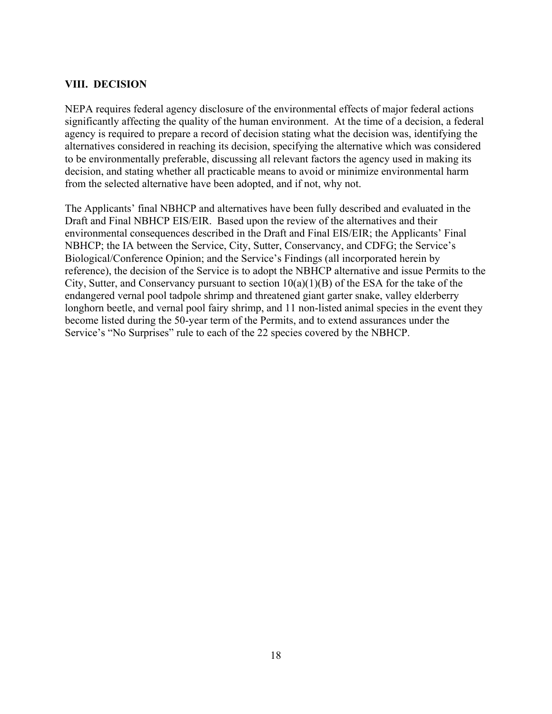# **VIII. DECISION**

NEPA requires federal agency disclosure of the environmental effects of major federal actions significantly affecting the quality of the human environment. At the time of a decision, a federal agency is required to prepare a record of decision stating what the decision was, identifying the alternatives considered in reaching its decision, specifying the alternative which was considered to be environmentally preferable, discussing all relevant factors the agency used in making its decision, and stating whether all practicable means to avoid or minimize environmental harm from the selected alternative have been adopted, and if not, why not.

The Applicants' final NBHCP and alternatives have been fully described and evaluated in the Draft and Final NBHCP EIS/EIR. Based upon the review of the alternatives and their environmental consequences described in the Draft and Final EIS/EIR; the Applicants' Final NBHCP; the IA between the Service, City, Sutter, Conservancy, and CDFG; the Service's Biological/Conference Opinion; and the Service's Findings (all incorporated herein by reference), the decision of the Service is to adopt the NBHCP alternative and issue Permits to the City, Sutter, and Conservancy pursuant to section  $10(a)(1)(B)$  of the ESA for the take of the endangered vernal pool tadpole shrimp and threatened giant garter snake, valley elderberry longhorn beetle, and vernal pool fairy shrimp, and 11 non-listed animal species in the event they become listed during the 50-year term of the Permits, and to extend assurances under the Service's "No Surprises" rule to each of the 22 species covered by the NBHCP.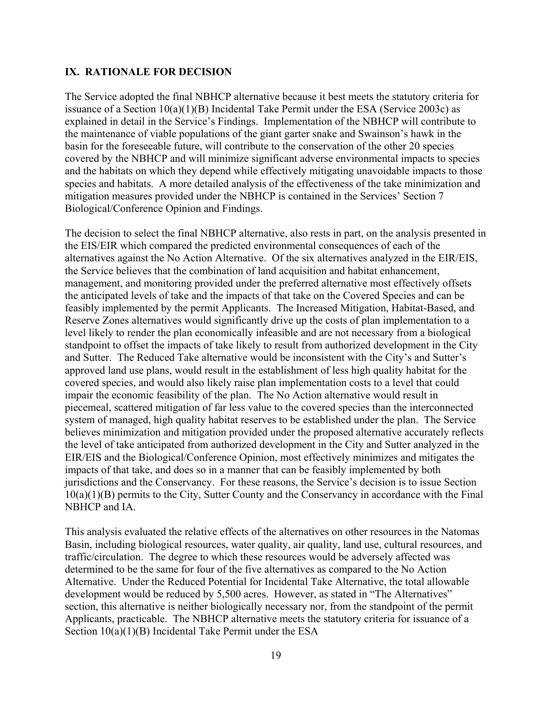## **IX. RATIONALE FOR DECISION**

The Service adopted the final NBHCP alternative because it best meets the statutory criteria for issuance of a Section  $10(a)(1)(B)$  Incidental Take Permit under the ESA (Service 2003c) as explained in detail in the Service's Findings. Implementation of the NBHCP will contribute to the maintenance of viable populations of the giant garter snake and Swainson's hawk in the basin for the foreseeable future, will contribute to the conservation of the other 20 species covered by the NBHCP and will minimize significant adverse environmental impacts to species and the habitats on which they depend while effectively mitigating unavoidable impacts to those species and habitats. A more detailed analysis of the effectiveness of the take minimization and mitigation measures provided under the NBHCP is contained in the Services' Section 7 Biological/Conference Opinion and Findings.

The decision to select the final NBHCP alternative, also rests in part, on the analysis presented in the EIS/EIR which compared the predicted environmental consequences of each of the alternatives against the No Action Alternative. Of the six alternatives analyzed in the EIR/EIS, the Service believes that the combination of land acquisition and habitat enhancement, management, and monitoring provided under the preferred alternative most effectively offsets the anticipated levels of take and the impacts of that take on the Covered Species and can be feasibly implemented by the permit Applicants. The Increased Mitigation, Habitat-Based, and Reserve Zones alternatives would significantly drive up the costs of plan implementation to a level likely to render the plan economically infeasible and are not necessary from a biological standpoint to offset the impacts of take likely to result from authorized development in the City and Sutter. The Reduced Take alternative would be inconsistent with the City's and Sutter's approved land use plans, would result in the establishment of less high quality habitat for the covered species, and would also likely raise plan implementation costs to a level that could impair the economic feasibility of the plan. The No Action alternative would result in piecemeal, scattered mitigation of far less value to the covered species than the interconnected system of managed, high quality habitat reserves to be established under the plan. The Service believes minimization and mitigation provided under the proposed alternative accurately reflects the level of take anticipated from authorized development in the City and Sutter analyzed in the EIR/EIS and the Biological/Conference Opinion, most effectively minimizes and mitigates the impacts of that take, and does so in a manner that can be feasibly implemented by both jurisdictions and the Conservancy. For these reasons, the Service's decision is to issue Section 10(a)(1)(B) permits to the City, Sutter County and the Conservancy in accordance with the Final NBHCP and IA.

This analysis evaluated the relative effects of the alternatives on other resources in the Natomas Basin, including biological resources, water quality, air quality, land use, cultural resources, and traffic/circulation. The degree to which these resources would be adversely affected was determined to be the same for four of the five alternatives as compared to the No Action Alternative. Under the Reduced Potential for Incidental Take Alternative, the total allowable development would be reduced by 5,500 acres. However, as stated in "The Alternatives" section, this alternative is neither biologically necessary nor, from the standpoint of the permit Applicants, practicable. The NBHCP alternative meets the statutory criteria for issuance of a Section 10(a)(1)(B) Incidental Take Permit under the ESA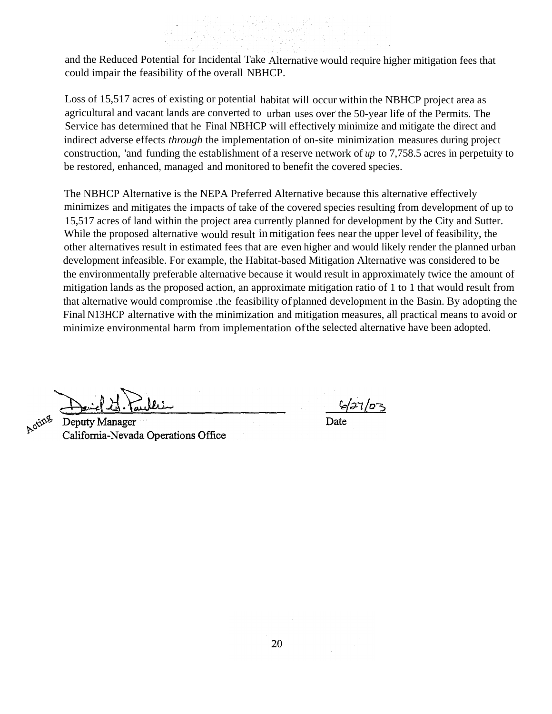and the Reduced Potential for Incidental Take Alternative would require higher mitigation fees that could impair the feasibility of the overall NBHCP.

Loss of 15,517 acres of existing or potential habitat will occur within the NBHCP project area as agricultural and vacant lands are converted to urban uses over the 50-year life of the Permits. The Service has determined that he Final NBHCP will effectively minimize and mitigate the direct and indirect adverse effects *through* the implementation of on-site minimization measures during project construction, 'and funding the establishment of a reserve network of *up* to 7,758.5 acres in perpetuity to be restored, enhanced, managed and monitored to benefit the covered species.

The NBHCP Alternative is the NEPA Preferred Alternative because this alternative effectively minimizes and mitigates the impacts of take of the covered species resulting from development of up to 15,517 acres of land within the project area currently planned for development by the City and Sutter. While the proposed alternative would result in mitigation fees near the upper level of feasibility, the other alternatives result in estimated fees that are even higher and would likely render the planned urban development infeasible. For example, the Habitat-based Mitigation Alternative was considered to be the environmentally preferable alternative because it would result in approximately twice the amount of mitigation lands as the proposed action, an approximate mitigation ratio of 1 to 1 that would result from that alternative would compromise .the feasibility ofplanned development in the Basin. By adopting the Final N13HCP alternative with the minimization and mitigation measures, all practical means to avoid or minimize environmental harm from implementation ofthe selected alternative have been adopted.

Acting

Deputy Manager California-Nevada Operations Office

6/27/03

Date